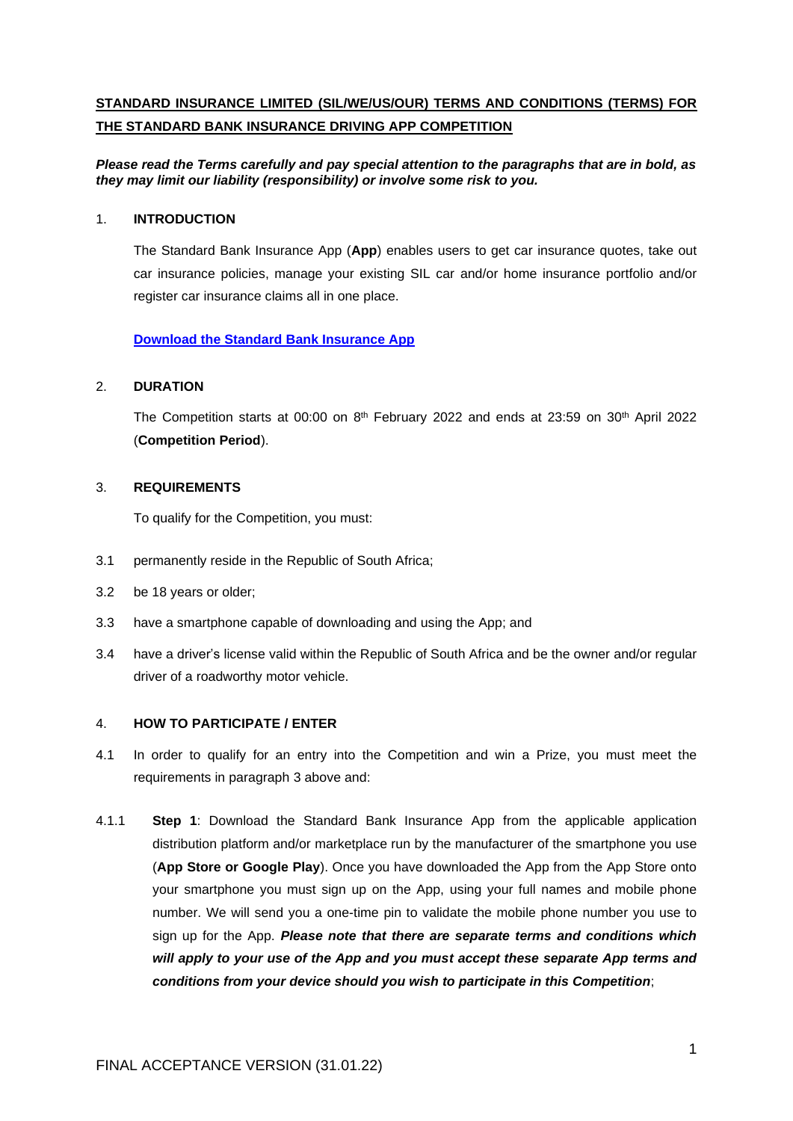# **STANDARD INSURANCE LIMITED (SIL/WE/US/OUR) TERMS AND CONDITIONS (TERMS) FOR THE STANDARD BANK INSURANCE DRIVING APP COMPETITION**

## *Please read the Terms carefully and pay special attention to the paragraphs that are in bold, as they may limit our liability (responsibility) or involve some risk to you.*

### 1. **INTRODUCTION**

The Standard Bank Insurance App (**App**) enables users to get car insurance quotes, take out car insurance policies, manage your existing SIL car and/or home insurance portfolio and/or register car insurance claims all in one place.

## **[Download the Standard](https://www.standardbank.co.za/southafrica/personal/products-and-services/insure-what-matters/standard-bank-insurance-app) Bank Insurance App**

#### 2. **DURATION**

The Competition starts at 00:00 on  $8<sup>th</sup>$  February 2022 and ends at 23:59 on 30<sup>th</sup> April 2022 (**Competition Period**).

### <span id="page-0-0"></span>3. **REQUIREMENTS**

To qualify for the Competition, you must:

- 3.1 permanently reside in the Republic of South Africa;
- 3.2 be 18 years or older;
- 3.3 have a smartphone capable of downloading and using the App; and
- 3.4 have a driver's license valid within the Republic of South Africa and be the owner and/or regular driver of a roadworthy motor vehicle.

#### <span id="page-0-1"></span>4. **HOW TO PARTICIPATE / ENTER**

- 4.1 In order to qualify for an entry into the Competition and win a Prize, you must meet the requirements in paragraph [3](#page-0-0) above and:
- 4.1.1 **Step 1**: Download the Standard Bank Insurance App from the applicable application distribution platform and/or marketplace run by the manufacturer of the smartphone you use (**App Store or Google Play**). Once you have downloaded the App from the App Store onto your smartphone you must sign up on the App, using your full names and mobile phone number. We will send you a one-time pin to validate the mobile phone number you use to sign up for the App. *Please note that there are separate terms and conditions which will apply to your use of the App and you must accept these separate App terms and conditions from your device should you wish to participate in this Competition*;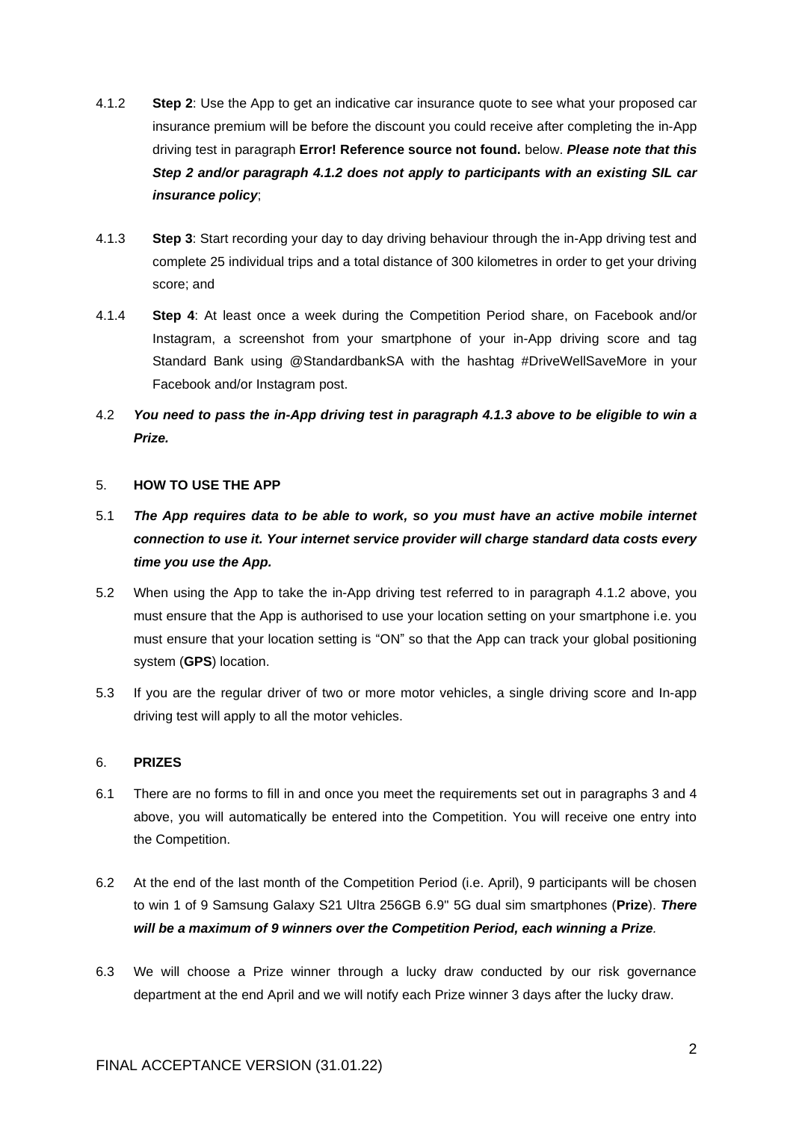- <span id="page-1-0"></span>4.1.2 **Step 2**: Use the App to get an indicative car insurance quote to see what your proposed car insurance premium will be before the discount you could receive after completing the in-App driving test in paragraph **Error! Reference source not found.** below. *Please note that this Step 2 and/or paragraph [4.1.2](#page-1-0) does not apply to participants with an existing SIL car insurance policy*;
- <span id="page-1-1"></span>4.1.3 **Step 3**: Start recording your day to day driving behaviour through the in-App driving test and complete 25 individual trips and a total distance of 300 kilometres in order to get your driving score; and
- 4.1.4 **Step 4**: At least once a week during the Competition Period share, on Facebook and/or Instagram, a screenshot from your smartphone of your in-App driving score and tag Standard Bank using @StandardbankSA with the hashtag #DriveWellSaveMore in your Facebook and/or Instagram post.
- 4.2 *You need to pass the in-App driving test in paragraph [4.1.3](#page-1-1) above to be eligible to win a Prize.*

## 5. **HOW TO USE THE APP**

- 5.1 *The App requires data to be able to work, so you must have an active mobile internet connection to use it. Your internet service provider will charge standard data costs every time you use the App.*
- 5.2 When using the App to take the in-App driving test referred to in paragraph [4.1.2](#page-1-0) above, you must ensure that the App is authorised to use your location setting on your smartphone i.e. you must ensure that your location setting is "ON" so that the App can track your global positioning system (**GPS**) location.
- 5.3 If you are the regular driver of two or more motor vehicles, a single driving score and In-app driving test will apply to all the motor vehicles.

## 6. **PRIZES**

- 6.1 There are no forms to fill in and once you meet the requirements set out in paragraphs [3](#page-0-0) and [4](#page-0-1) above, you will automatically be entered into the Competition. You will receive one entry into the Competition.
- 6.2 At the end of the last month of the Competition Period (i.e. April), 9 participants will be chosen to win 1 of 9 Samsung Galaxy S21 Ultra 256GB 6.9'' 5G dual sim smartphones (**Prize**). *There will be a maximum of 9 winners over the Competition Period, each winning a Prize.*
- 6.3 We will choose a Prize winner through a lucky draw conducted by our risk governance department at the end April and we will notify each Prize winner 3 days after the lucky draw.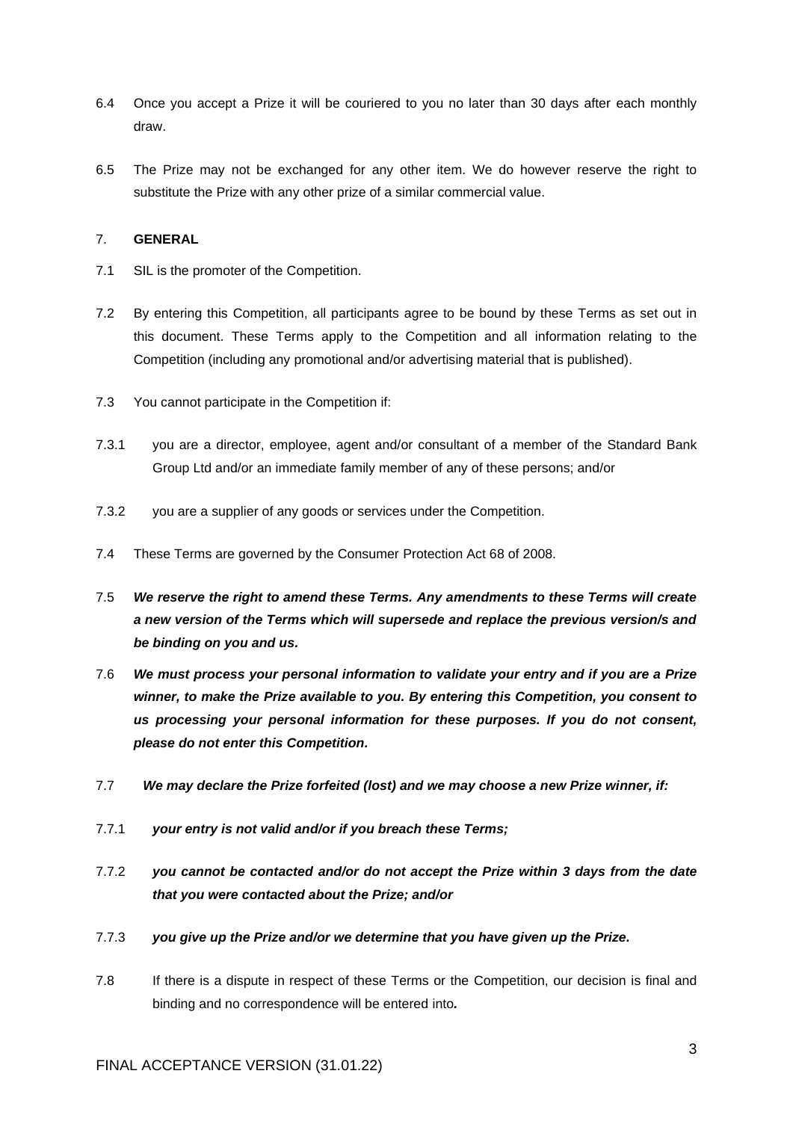- 6.4 Once you accept a Prize it will be couriered to you no later than 30 days after each monthly draw.
- 6.5 The Prize may not be exchanged for any other item. We do however reserve the right to substitute the Prize with any other prize of a similar commercial value.

## 7. **GENERAL**

- 7.1 SIL is the promoter of the Competition.
- 7.2 By entering this Competition, all participants agree to be bound by these Terms as set out in this document. These Terms apply to the Competition and all information relating to the Competition (including any promotional and/or advertising material that is published).
- 7.3 You cannot participate in the Competition if:
- 7.3.1 you are a director, employee, agent and/or consultant of a member of the Standard Bank Group Ltd and/or an immediate family member of any of these persons; and/or
- 7.3.2 you are a supplier of any goods or services under the Competition.
- 7.4 These Terms are governed by the Consumer Protection Act 68 of 2008.
- 7.5 *We reserve the right to amend these Terms. Any amendments to these Terms will create a new version of the Terms which will supersede and replace the previous version/s and be binding on you and us.*
- 7.6 *We must process your personal information to validate your entry and if you are a Prize winner, to make the Prize available to you. By entering this Competition, you consent to us processing your personal information for these purposes. If you do not consent, please do not enter this Competition.*
- 7.7 *We may declare the Prize forfeited (lost) and we may choose a new Prize winner, if:*
- 7.7.1 *your entry is not valid and/or if you breach these Terms;*
- 7.7.2 *you cannot be contacted and/or do not accept the Prize within 3 days from the date that you were contacted about the Prize; and/or*
- 7.7.3 *you give up the Prize and/or we determine that you have given up the Prize.*
- 7.8 If there is a dispute in respect of these Terms or the Competition, our decision is final and binding and no correspondence will be entered into*.*